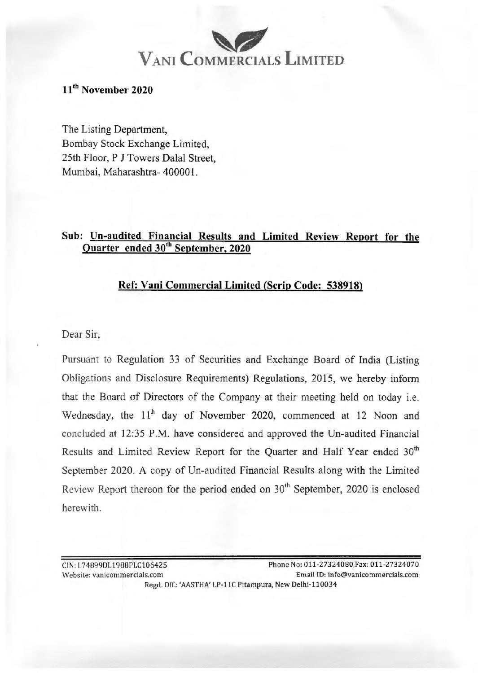# $V_{ANI}$  **COMMERCIALS** LIMITED

# **11th November 2020**

The Listing Department, Bombay Stock Exchange Limited, 25th Floor, P J Towers Dalal Street, Mumbai, Maharashtra- 400001.

# **Sub: Un-audited Financial Results and Limited Review Report for the Quarter ended 30th September, 2020**

# **Ref: Vani Commercial Limited (Scrip Code: 538918)**

Dear Sir,

Pursuant to Regulation 33 of Securities and Exchange Board of India (Listing Obligations and Disclosure Requirements) Regulations, 2015, we hereby inform that the Board of Directors of the Company at their meeting held on today i.e. Wednesday, the 11<sup>h</sup> day of November 2020, commenced at 12 Noon and concluded at 12:35 P.M. have considered and approved the Un-audited Financial Results and Limited Review Report for the Quarter and Half Year ended 30<sup>th</sup> September 2020. A copy of Un-audited Financial Results along with the Limited Review Report thereon for the period ended on  $30<sup>th</sup>$  September, 2020 is enclosed herewith.

CIN:L74899DL1988PLC106425 Phone No: 011-27324080,Fax: 011-27324070 Website: vanicommercia ls.com Email ID: info@vanicommercials.com Regd. Off.: 'AASTHA' LP-llC Pitampura, New Delhi-110034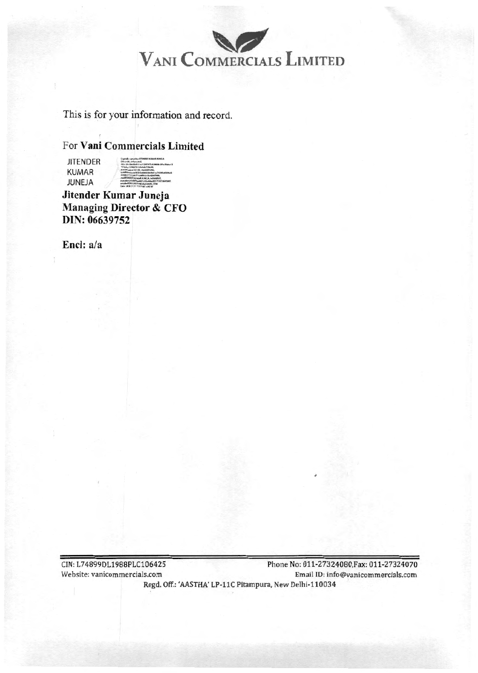

This is for your information and record.

**JITENDER** KUMAR JUNEJA

For **Vani Commercials Limited**<br>
JITENDER<br> **KUMAR**<br>
JUNEJA ,\_.\_,\_..\_\_.,..,\_., - **Ill .... (,** 

**Jitender Kumar Juneja Managing Director & CFO**  DIN: **06639752** 

**EncJ:** a/a

CIN:L74899DL1988PLC106425 Phone No: 011-27324080,Fax: 011-27324070 Website: vanicommercials.com EmailJD: info@vanicommercials.com Regd. Off.: 'AASTHA' LP-11C Pitampura, New Delhi-110034 .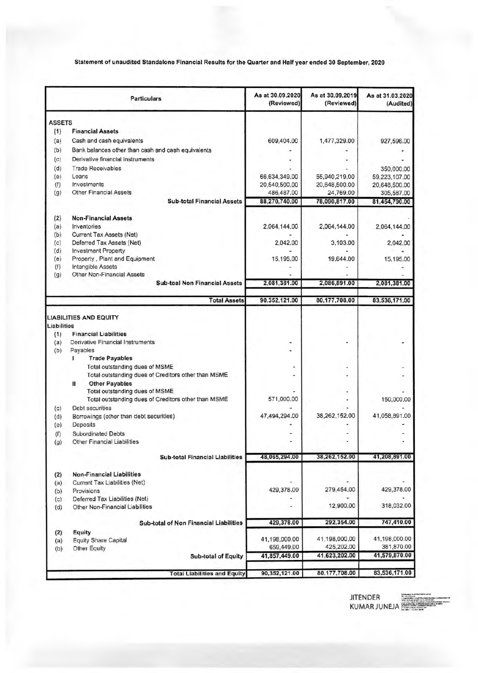### Statement of unaudited Standalone Financial Results for the Quarter and Half year ended 30 September, 2020

|                    | <b>Particulars</b>                                            | As at 30.09.2020<br>(Reviewed) | As at 30.09.2019<br>(Reviewed) | As at 31.03.2020<br>(Audited) |
|--------------------|---------------------------------------------------------------|--------------------------------|--------------------------------|-------------------------------|
| <b>ASSETS</b>      |                                                               |                                |                                |                               |
| (1)                | <b>Financial Assets</b>                                       |                                |                                |                               |
| (a)                | Cash and cash equivalents                                     | 609,404.00                     | 1,477,329.00                   | 927,596.00                    |
| (b)                | Bank balances other than cash and cash equivalents            |                                |                                |                               |
| (c)                | Derivative financial instruments                              |                                |                                |                               |
| (d)                | <b>Trade Receivables</b>                                      |                                |                                | 350,000.00                    |
| (e)                | Loans                                                         | 66,634,349.00                  | 55,940,219.00                  | 59,223,107.00                 |
| (f)                | Investments                                                   | 20,540,500.00                  | 20,648,500.00                  | 20,648,500.00                 |
| (g)                | <b>Other Financial Assets</b>                                 | 486,487.00                     | 24,769.00                      | 305,587.00                    |
|                    | <b>Sub-total Financial Assets</b>                             | 88,270,740.00                  | 78,090,817.00                  | 81,454,790.00                 |
| (2)                | <b>Non-Financial Assets</b>                                   |                                |                                |                               |
| (a)                | Inventories                                                   | 2,064,144.00                   | 2,064,144.00                   | 2,064,144.00                  |
| (b)                | Current Tax Assets (Net)                                      |                                |                                |                               |
| (c)                | Deferred Tax Assets (Net)                                     | 2,042.00                       | 3,103.00                       | 2,042.00                      |
| (d)                | <b>Investment Property</b>                                    |                                |                                |                               |
| (e)                | Property, Plant and Equipment                                 | 15,195.00                      | 19,644.00                      | 15,195.00                     |
| (f)                | Intangible Assets<br>Other Non-Financial Assets               |                                |                                |                               |
| (g)                | <b>Sub-toal Non Financial Assets</b>                          | 2,081,381.00                   | 2,086,891.00                   | 2,081,381.00                  |
|                    | <b>Total Assets</b>                                           | 90,352,121.00                  | 80,177,708.00                  | 83,536,171.00                 |
|                    |                                                               |                                |                                |                               |
| Liabilities<br>(1) | <b>LIABILITIES AND EQUITY</b><br><b>Financial Liabilities</b> |                                |                                |                               |
| (a)                | Derivative Financial Instruments                              |                                |                                |                               |
| (b)                | Payables<br>L                                                 |                                |                                |                               |
|                    | <b>Trade Payables</b><br>Total outstanding dues of MSME       |                                |                                |                               |
|                    | Total outstanding dues of Creditors other than MSME           |                                |                                |                               |
|                    | <b>Other Payables</b><br>n                                    |                                |                                |                               |
|                    | Total outstanding dues of MSME                                |                                |                                |                               |
|                    | Total outstanding dues of Creditors other than MSME           | 571,000.00                     |                                | 150,000.00                    |
| (c)                | <b>Debt securities</b>                                        |                                |                                |                               |
| (d)                | Borrowings (other than debt securities)                       | 47,494,294.00                  | 38,262,152.00                  | 41,058,891.00                 |
| (e)                | Deposits                                                      |                                |                                |                               |
| (()                | <b>Subordinated Debts</b>                                     |                                |                                |                               |
| (g)                | <b>Other Financial Liabilities</b>                            |                                |                                |                               |
|                    | <b>Sub-total Financial Liabilities</b>                        | 48,065,294.00                  | 38,262,152.00                  | 41,208,891.00                 |
|                    | <b>Non-Financial Liabilities</b>                              |                                |                                |                               |
| (2)<br>(a)         | Current Tax Liabilities (Net)                                 |                                |                                |                               |
| (b)                | Provisions                                                    | 429,378.00                     | 279,454.00                     | 429,378.00                    |
| (c)                | Deferred Tax Liabilities (Net)                                |                                |                                |                               |
| (d)                | Other Non-Financial Liabilities                               |                                | 12,900.00                      | 318,032.00                    |
|                    | Sub-total of Non Financial Liabilities                        | 429,378.00                     | 292,354.00                     | 747,410.00                    |
| (2)                | Equity                                                        |                                |                                |                               |
| (a)                | <b>Equity Share Capital</b>                                   | 41,198,000.00                  | 41,198,000.00                  | 41,198,000.00                 |
| (b)                | Other Equity                                                  | 659,449.00                     | 425,202.00                     | 381,870.00                    |
|                    | <b>Sub-total of Equity</b>                                    | 41,857,449.00                  | 41,623,202.00                  | 41,579,870.00                 |
|                    | <b>Total Liabilities and Equity</b>                           | 90,352,121.00                  | 80,177,708.00                  | 83,536,171.00                 |
|                    |                                                               |                                |                                |                               |

JITENDER :a=:-.==\_\_ .. KUMAR JUNEJA <del>\*\*\*\*\*\*\*\*\*\*\*\*\*\*\*</del>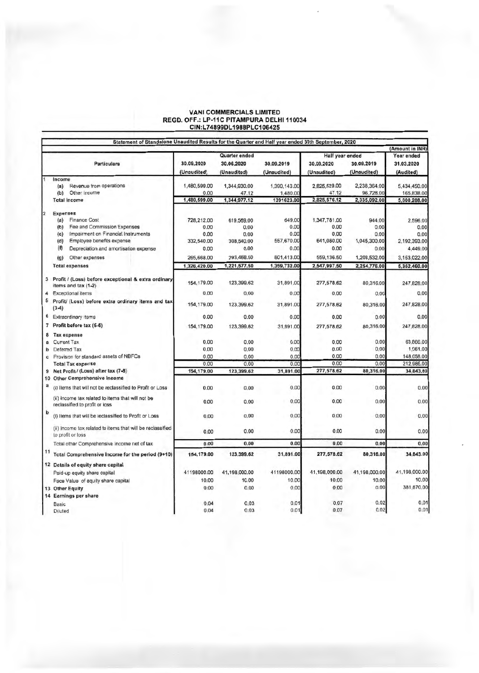#### VANI COMMERCIALS LIMITED REGD. OFF.: LP-11C PITAMPURA DELHI 110034 CIN :L74899DL 1988PLC106425

|    | Statement of Standalone Unaudited Results for the Quarter and Half year ended 30th September, 2020 |              |                      |              |                 |               | (Amount in INR) |
|----|----------------------------------------------------------------------------------------------------|--------------|----------------------|--------------|-----------------|---------------|-----------------|
|    |                                                                                                    |              | <b>Quarter ended</b> |              | Half year ended |               | Year ended      |
|    | <b>Particulars</b>                                                                                 | 30.09.2020   | 30.06.2020           | 30.09.2019   | 30.09.2020      | 30.09.2019    | 31.03.2020      |
|    |                                                                                                    | (Unaudited)  | (Unaudited)          | (Unaudited)  | (Unaudited)     | (Unaudited)   | (Audited)       |
|    | Income                                                                                             |              |                      |              |                 |               |                 |
|    | Revenue from operations<br>(a)                                                                     | 1,480,599.00 | 1,344,930.00         | 1,390,143.00 | 2,825,529.00    | 2,238,364.00  | 5,434,450.00    |
|    | Other Income<br>(b)                                                                                | 0.00         | 47.12                | 1,480.00     | 47.12           | 96,728.00     | 165,838.00      |
|    | <b>Total Income</b>                                                                                | 1,480,599.00 | 1,344,977.12         | 1391623.00   | 2,825,576.12    | 2,335,092.00  | 5,600,288,00    |
| 2  | <b>Expenses</b>                                                                                    |              |                      |              |                 |               |                 |
|    | <b>Finance Cost</b><br>(a)                                                                         | 728,212.00   | 619.569.00           | 649.00       | 1,347,781.00    | 944.00        | 2,596.00        |
|    | Fee and Commission Expenses<br>(b)                                                                 | 0.00         | 0.00                 | 0.00         | 0.00            | 0.00          | 0.00            |
|    | Impairment on Financial Instruments<br>(c)                                                         | 0.00         | 0.00                 | 0.00         | 0.00            | 0.00          | 0.00            |
|    | (d)<br>Employee benefits expense                                                                   | 332,540.00   | 308,540.00           | 557,670.00   | 641,080.00      | 1,045,300.00  | 2.192.393.00    |
|    | $(\mathbf{f})$<br>Depreciation and amortisation expense                                            | 0.00         | 0.00                 | 0.00         | 0.00            | 0.00          | 4,449.00        |
|    | Other expenses<br>(q)                                                                              | 265,668.00   | 293,468.50           | 801.413.00   | 559,136.50      | 1,208,532.00  | 3,153,022,00    |
|    | <b>Total expenses</b>                                                                              | 1,326,420.00 | 1,221,577.50         | 1,359,732.00 | 2.547,997.50    | 2,254,776.00  | 5,352,460.00    |
|    | 3 Profit / (Loss) before exceptional & extra ordinary<br>items and tax (1-2)                       | 154,179.00   | 123,399.62           | 31,891.00    | 277,578.62      | 80,316.00     | 247,828.00      |
| 4  | <b>Exceptional items</b>                                                                           | 0.00         | 0.00                 | 0.00         | 0.00            | 0.00          | 0.00            |
| 5  | Profit/ (Loss) before extra ordinary items and tax                                                 |              |                      |              |                 |               |                 |
|    | $(3-4)$                                                                                            | 154,179.00   | 123.399.62           | 31,891.00    | 277,578.62      | 80,316.00     | 247,828.00      |
|    | 6 Extraordinary items                                                                              | 0.00         | 0.00                 | 0.00         | 0.00            | 0.00          | 0.00            |
| 7  | Profit before tax (5-6)                                                                            | 154, 179, 00 | 123,399.62           | 31.891.00    | 277,578,62      | 80,316.00     | 247.828.00      |
|    | 8 Tax expense                                                                                      |              |                      |              |                 |               |                 |
| a  | <b>Current Tax</b>                                                                                 | 0.00         | 0.00                 | 0.00         | 0.00            | 0.00          | 63,866.00       |
| b  | Deferred Tax                                                                                       | 0.00         | 0.00                 | 0.00         | 0.00            | 0.00          | 1,061.00        |
|    | c Provision for standard assets of NBFCs                                                           | 0.00         | 0.00                 | 0.00         | 0.00            | 0.00          | 148,058.00      |
|    | <b>Total Tax expense</b>                                                                           | 0.00         | 0.00                 | 0.00         | 0.00            | 0.00          | 212,985.00      |
|    | 9 Net Profit / (Loss) after tax (7-8)                                                              | 154,179.00   | 123,399.62           | 31,891.00    | 277,578.62      | 80,316.00     | 34,843.00       |
|    | 10 Other Comprehensive Income                                                                      |              |                      |              |                 |               |                 |
| a  | (i) Items that will not be reclassified to Profit or Loss                                          | 0.00         | 0.00                 | 0.00         | 0.00            | 0.00          | 0.00            |
|    | (ii) Income tax related to items that will not be<br>reclassified to profit or loss                | 0.00         | 0.00                 | 0.00         | 0.00            | 0.00          | 0.00            |
| b  | (i) Items that will be reclassified to Profit or Loss                                              | 0,00         | 0,00                 | 0.00         | 0,00            | 0.00          | 0.00            |
|    | (ii) Income tax related to items that will be reclassified<br>to profit or loss                    | 0.00         | 0.00                 | 0.00         | 0.00            | 0.00          | 0.00            |
|    | Total other Comprehensive Income net of lax                                                        | 0.00         | 0.00                 | 0.00         | 0.00            | 0.00          | 0.00            |
| 11 | Total Comprehensive Income for the period (9+10)                                                   | 154,179.00   | 123,399.62           | 31,891.00    | 277,578.62      | 80,316.00     | 34,843.00       |
|    | 12 Details of equity share capital                                                                 |              |                      |              |                 |               |                 |
|    | Paid-up equity share capital                                                                       | 41198000.00  | 41,198,000.00        | 41198000.00  | 41,198,000.00   | 41,198,000.00 | 41,198,000.00   |
|    | Face Value of equity share capital                                                                 | 10.00        | 10.00                | 10.00        | 10.00           | 10.00         | 10,00           |
|    | 13 Other Equity                                                                                    | 0.00         | 0.00                 | 0.00         | 0.00            | 0.00          | 381,870.00      |
|    | 14 Earnings per share                                                                              |              |                      |              |                 |               |                 |
|    | Basic                                                                                              | 0.04         | 0.03                 | 0.01         | 0.07            | 0.02          | 0.01            |
|    | Diluted                                                                                            | 0,04         | 0.03                 | 0.01         | 0.07            | 0.02          | 0.01            |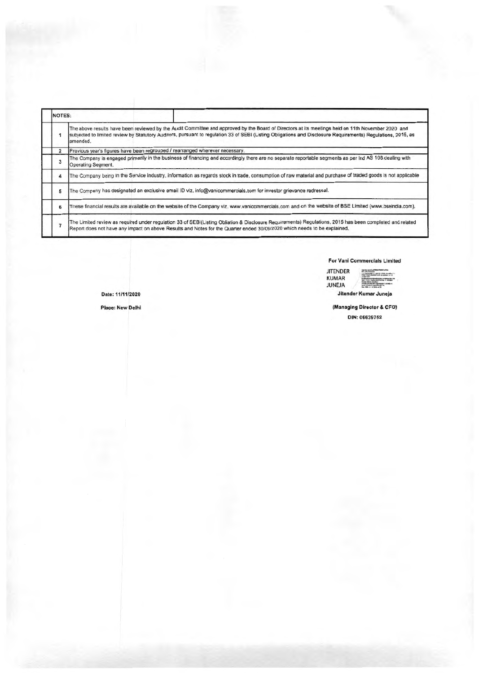|                                                                              | INOTES: |                                                                                                                                                                                                                                                                                                                               |
|------------------------------------------------------------------------------|---------|-------------------------------------------------------------------------------------------------------------------------------------------------------------------------------------------------------------------------------------------------------------------------------------------------------------------------------|
|                                                                              |         | The above results have been reviewed by the Audit Committee and approved by the Board of Directors at its meetings held on 11th November 2020 and<br>subjected to limited review by Statutory Auditors, pursuant to regulation 33 of SEBI (Listing Obligations and Disclosure Requirements) Regulations, 2015, as<br>amended. |
| Previous year's figures have been regrouped / rearranged wherever necessary. |         |                                                                                                                                                                                                                                                                                                                               |
|                                                                              |         | The Company is engaged primarily in the business of financing and accordingly there are no separate reportable segments as per Ind AS 108 dealing with<br>Operating Segment.                                                                                                                                                  |
|                                                                              |         | The Company being in the Service industry, information as regards stock in trade, consumption of raw material and purchase of traded goods is not applicable                                                                                                                                                                  |
|                                                                              |         | The Company has designated an exclusive email ID viz, info@vanicommercials.com for investor grievance redressal.                                                                                                                                                                                                              |
|                                                                              | 6       | These financial results are available on the website of the Company viz, www.vanicommercials.com and on the website of BSE Limited (www.bseindia.com),                                                                                                                                                                        |
|                                                                              |         | The Limited review as required under regulation 33 of SEBI(Listing Obliation & Disclosure Requirements) Regulations, 2015 has been completed and related<br>Report does not have any impact on above Results and Notes for the Quarter ended 30/09/2020 which needs to be explained.                                          |

### For Vani Commercials Limited

**JITENDER** KUMAR JUNEJA

Jitender Kumar Juneja

(Managing Director & CFO)

Place: New Delhi

Date: 1111112020

#### DIN: 06639752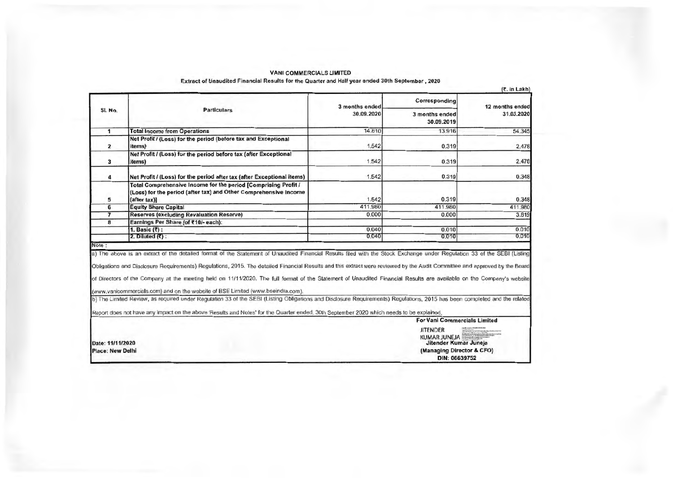#### VANI COMMERCIALS LIMITED

Extract of Unaudited Financial Results for the Quarter and Half year ended 30th September , 2020

 $(x, t)$  in Lakha

|                                             | <b>Particulars</b>                                                                                                                                                                                                                                                                                                                                                                                                                                                                                                                                                                                                                                                                                                                                                                              | 3 months ended<br>30.09.2020 | Corresponding                | 12 months ended<br>31.03.2020 |
|---------------------------------------------|-------------------------------------------------------------------------------------------------------------------------------------------------------------------------------------------------------------------------------------------------------------------------------------------------------------------------------------------------------------------------------------------------------------------------------------------------------------------------------------------------------------------------------------------------------------------------------------------------------------------------------------------------------------------------------------------------------------------------------------------------------------------------------------------------|------------------------------|------------------------------|-------------------------------|
| SI. No.                                     |                                                                                                                                                                                                                                                                                                                                                                                                                                                                                                                                                                                                                                                                                                                                                                                                 |                              | 3 months ended<br>30.09.2019 |                               |
| 1                                           | <b>Total Income from Operations</b>                                                                                                                                                                                                                                                                                                                                                                                                                                                                                                                                                                                                                                                                                                                                                             | 14.810                       | 13.916                       | 54.345                        |
| $\overline{2}$                              | Net Profit / (Loss) for the period (before tax and Exceptional<br>items)                                                                                                                                                                                                                                                                                                                                                                                                                                                                                                                                                                                                                                                                                                                        | 1.542                        | 0.319                        | 2.478                         |
| 3                                           | Net Profit / (Loss) for the period before tax (after Exceptional<br>items)                                                                                                                                                                                                                                                                                                                                                                                                                                                                                                                                                                                                                                                                                                                      | 1.542                        | 0.319                        | 2.478                         |
| 4                                           | Net Profit / (Loss) for the period after tax (after Exceptional items)                                                                                                                                                                                                                                                                                                                                                                                                                                                                                                                                                                                                                                                                                                                          | 1.542                        | 0.319                        | 0.348                         |
| 5                                           | Total Comprehensive Income for the period [Comprising Profit /<br>(Loss) for the period (after tax) and Other Comprehensive Income<br>(after tax))                                                                                                                                                                                                                                                                                                                                                                                                                                                                                                                                                                                                                                              | 1.542                        | 0.319                        | 0.348                         |
| 6                                           | <b>Equity Share Capital</b>                                                                                                                                                                                                                                                                                                                                                                                                                                                                                                                                                                                                                                                                                                                                                                     | 411,980                      | 411.980                      | 411.980                       |
| $\overline{\mathbf{z}}$                     | <b>Reserves (excluding Revaluation Reserve)</b>                                                                                                                                                                                                                                                                                                                                                                                                                                                                                                                                                                                                                                                                                                                                                 | 0.000                        | 0.000                        | 3.819                         |
| 8                                           | Earnings Per Share (of ₹10/- each):                                                                                                                                                                                                                                                                                                                                                                                                                                                                                                                                                                                                                                                                                                                                                             |                              |                              |                               |
|                                             | 1. Basic $(\overline{\tau})$ :                                                                                                                                                                                                                                                                                                                                                                                                                                                                                                                                                                                                                                                                                                                                                                  | 0.040                        | 0.010                        | 0.010                         |
|                                             | 2. Diluted $(\bar{\zeta})$ :                                                                                                                                                                                                                                                                                                                                                                                                                                                                                                                                                                                                                                                                                                                                                                    | 0.040                        | 0.010                        | 0.010                         |
| Note:                                       |                                                                                                                                                                                                                                                                                                                                                                                                                                                                                                                                                                                                                                                                                                                                                                                                 |                              |                              |                               |
|                                             | a) The above is an extract of the detailed format of the Statement of Unaudited Financial Results filed with the Stock Exchange under Regulation 33 of the SEBI (Listing<br>Obligations and Disclosure Requirements) Regulations, 2015. The detailed Financial Results and this extract were reviewed by the Audit Committee and approved by the Board<br>of Directors of the Company at the meeting held on 11/11/2020. The full format of the Statement of Unaudited Financial Results are available on the Company's website<br>(www.vanicommercials.com) and on the website of BSE Limited (www.bseindia.com).<br>b) The Limited Review, as required under Regulation 33 of the SEBI (Listing Obligations and Disclosure Requirements) Regulations, 2015 has been completed and the related |                              |                              |                               |
|                                             | Report does not have any impact on the above 'Results and Notes' for the Quarter ended, 30th September 2020 which needs to be explained.                                                                                                                                                                                                                                                                                                                                                                                                                                                                                                                                                                                                                                                        |                              |                              |                               |
|                                             | <b>For Vani Commercials Limited</b>                                                                                                                                                                                                                                                                                                                                                                                                                                                                                                                                                                                                                                                                                                                                                             |                              |                              |                               |
| Date: 11/11/2020<br><b>Place: New Delhi</b> |                                                                                                                                                                                                                                                                                                                                                                                                                                                                                                                                                                                                                                                                                                                                                                                                 |                              | <b>JITENDER</b>              |                               |